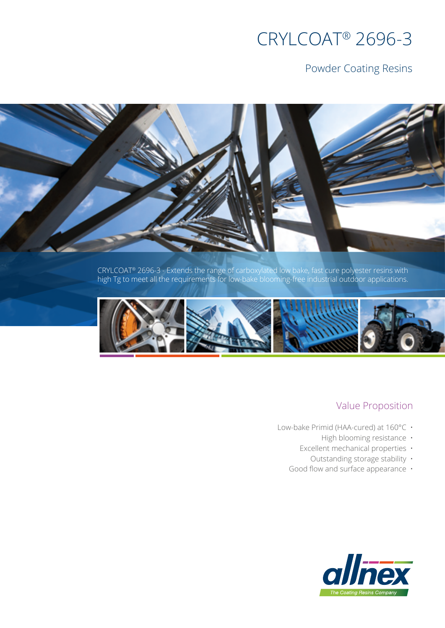# CRYLCOAT® 2696-3

## Powder Coating Resins

CRYLCOAT® 2696-3 - Extends the range of carboxylated low bake, fast cure polyester resins with high Tg to meet all the requirements for low-bake blooming-free industrial outdoor applications.



## Value Proposition

- Low-bake Primid (HAA-cured) at 160°C ·
	- High blooming resistance ·
	- Excellent mechanical properties
		- Outstanding storage stability •
	- Good flow and surface appearance •